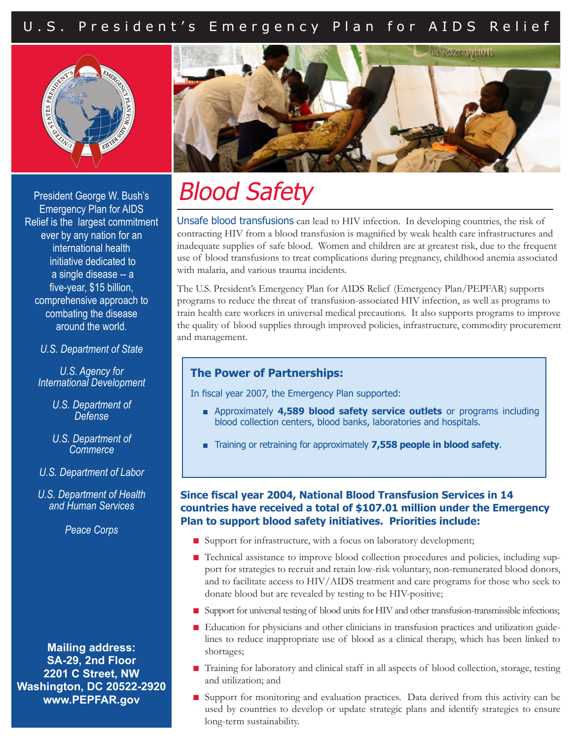# U.S. President's Emergency Plan for AIDS Relief





President George W. Bush's Emergency Plan for AIDS Relief is the largest commitment ever by any nation for an international health initiative dedicated to a single disease -- a five-year, \$15 billion, comprehensive approach to combating the disease around the world.

#### *U.S. Department of State*

*U.S. Agency for International Development*

- *U.S. Department of Defense*
- *U.S. Department of Commerce*
- *U.S. Department of Labor*

*U.S. Department of Health and Human Services*

*Peace Corps* 

**Mailing address: SA-29, 2nd Floor 2201 C Street, NW Washington, DC 20522-2920 www.PEPFAR.gov**

# Blood Safety

Unsafe blood transfusions can lead to HIV infection. In developing countries, the risk of contracting HIV from a blood transfusion is magnified by weak health care infrastructures and inadequate supplies of safe blood. Women and children are at greatest risk, due to the frequent use of blood transfusions to treat complications during pregnancy, childhood anemia associated with malaria, and various trauma incidents.

The U.S. President's Emergency Plan for AIDS Relief (Emergency Plan/PEPFAR) supports programs to reduce the threat of transfusion-associated HIV infection, as well as programs to train health care workers in universal medical precautions. It also supports programs to improve the quality of blood supplies through improved policies, infrastructure, commodity procurement and management.

#### **The Power of Partnerships:**

In fiscal year 2007, the Emergency Plan supported:

- Approximately 4,589 blood safety service outlets or programs including blood collection centers, blood banks, laboratories and hospitals.
- Training or retraining for approximately **7,558 people in blood safety**.

#### **Since fiscal year 2004, National Blood Transfusion Services in 14 countries have received a total of \$107.01 million under the Emergency Plan to support blood safety initiatives. Priorities include:**

- Support for infrastructure, with a focus on laboratory development;
- Technical assistance to improve blood collection procedures and policies, including support for strategies to recruit and retain low-risk voluntary, non-remunerated blood donors, and to facilitate access to HIV/AIDS treatment and care programs for those who seek to donate blood but are revealed by testing to be HIV-positive;
- Support for universal testing of blood units for HIV and other transfusion-transmissible infections;
- Education for physicians and other clinicians in transfusion practices and utilization guidelines to reduce inappropriate use of blood as a clinical therapy, which has been linked to shortages;
- Training for laboratory and clinical staff in all aspects of blood collection, storage, testing and utilization; and
- Support for monitoring and evaluation practices. Data derived from this activity can be used by countries to develop or update strategic plans and identify strategies to ensure long-term sustainability.